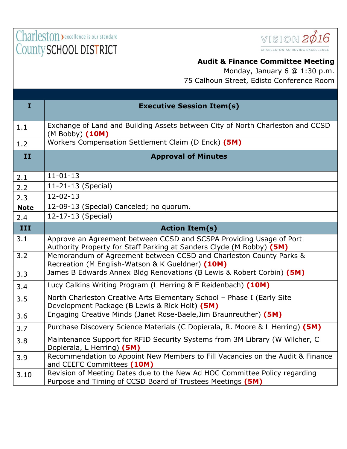## Charleston > excellence is our standard County SCHOOL DISTRICT



## **Audit & Finance Committee Meeting**

Monday, January 6 @ 1:30 p.m. 75 Calhoun Street, Edisto Conference Room

| $\mathbf{I}$ | <b>Executive Session Item(s)</b>                                                                                                            |
|--------------|---------------------------------------------------------------------------------------------------------------------------------------------|
| 1.1          | Exchange of Land and Building Assets between City of North Charleston and CCSD<br>(M Bobby) (10M)                                           |
| 1.2          | Workers Compensation Settlement Claim (D Enck) (5M)                                                                                         |
| II           | <b>Approval of Minutes</b>                                                                                                                  |
| 2.1          | $11 - 01 - 13$                                                                                                                              |
| 2.2          | 11-21-13 (Special)                                                                                                                          |
| 2.3          | $12 - 02 - 13$                                                                                                                              |
| <b>Note</b>  | 12-09-13 (Special) Canceled; no quorum.                                                                                                     |
| 2.4          | 12-17-13 (Special)                                                                                                                          |
| III          | <b>Action Item(s)</b>                                                                                                                       |
| 3.1          | Approve an Agreement between CCSD and SCSPA Providing Usage of Port<br>Authority Property for Staff Parking at Sanders Clyde (M Bobby) (5M) |
| 3.2          | Memorandum of Agreement between CCSD and Charleston County Parks &<br>Recreation (M English-Watson & K Gueldner) (10M)                      |
| 3.3          | James B Edwards Annex Bldg Renovations (B Lewis & Robert Corbin) (5M)                                                                       |
| 3.4          | Lucy Calkins Writing Program (L Herring & E Reidenbach) (10M)                                                                               |
| 3.5          | North Charleston Creative Arts Elementary School - Phase I (Early Site<br>Development Package (B Lewis & Rick Holt) (5M)                    |
| 3.6          | Engaging Creative Minds (Janet Rose-Baele, Jim Braunreuther) (5M)                                                                           |
| 3.7          | Purchase Discovery Science Materials (C Dopierala, R. Moore & L Herring) (5M)                                                               |
| 3.8          | Maintenance Support for RFID Security Systems from 3M Library (W Wilcher, C<br>Dopierala, L Herring) (5M)                                   |
| 3.9          | Recommendation to Appoint New Members to Fill Vacancies on the Audit & Finance<br>and CEEFC Committees (10M)                                |
| 3.10         | Revision of Meeting Dates due to the New Ad HOC Committee Policy regarding<br>Purpose and Timing of CCSD Board of Trustees Meetings (5M)    |